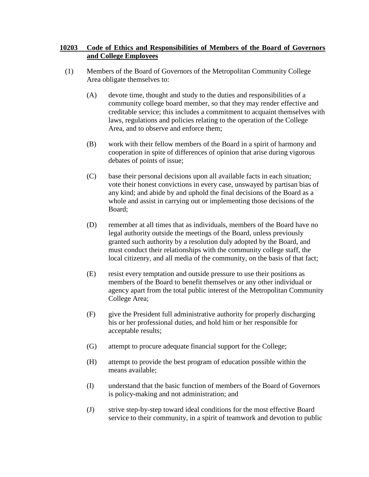## **10203 Code of Ethics and Responsibilities of Members of the Board of Governors and College Employees**

- (1) Members of the Board of Governors of the Metropolitan Community College Area obligate themselves to:
	- (A) devote time, thought and study to the duties and responsibilities of a community college board member, so that they may render effective and creditable service; this includes a commitment to acquaint themselves with laws, regulations and policies relating to the operation of the College Area, and to observe and enforce them;
	- (B) work with their fellow members of the Board in a spirit of harmony and cooperation in spite of differences of opinion that arise during vigorous debates of points of issue;
	- (C) base their personal decisions upon all available facts in each situation; vote their honest convictions in every case, unswayed by partisan bias of any kind; and abide by and uphold the final decisions of the Board as a whole and assist in carrying out or implementing those decisions of the Board;
	- (D) remember at all times that as individuals, members of the Board have no legal authority outside the meetings of the Board, unless previously granted such authority by a resolution duly adopted by the Board, and must conduct their relationships with the community college staff, the local citizenry, and all media of the community, on the basis of that fact;
	- (E) resist every temptation and outside pressure to use their positions as members of the Board to benefit themselves or any other individual or agency apart from the total public interest of the Metropolitan Community College Area;
	- (F) give the President full administrative authority for properly discharging his or her professional duties, and hold him or her responsible for acceptable results;
	- (G) attempt to procure adequate financial support for the College;
	- (H) attempt to provide the best program of education possible within the means available;
	- (I) understand that the basic function of members of the Board of Governors is policy-making and not administration; and
	- (J) strive step-by-step toward ideal conditions for the most effective Board service to their community, in a spirit of teamwork and devotion to public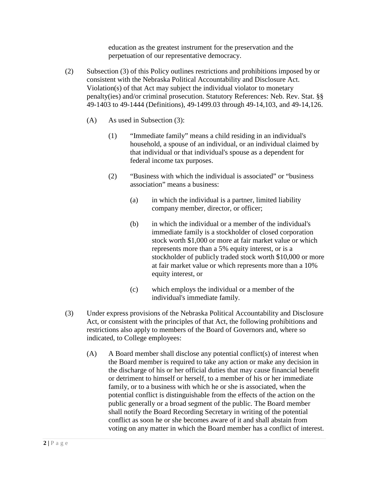education as the greatest instrument for the preservation and the perpetuation of our representative democracy.

- (2) Subsection (3) of this Policy outlines restrictions and prohibitions imposed by or consistent with the Nebraska Political Accountability and Disclosure Act. Violation(s) of that Act may subject the individual violator to monetary penalty(ies) and/or criminal prosecution. Statutory References: Neb. Rev. Stat. §§ 49-1403 to 49-1444 (Definitions), 49-1499.03 through 49-14,103, and 49-14,126.
	- (A) As used in Subsection (3):
		- (1) "Immediate family" means a child residing in an individual's household, a spouse of an individual, or an individual claimed by that individual or that individual's spouse as a dependent for federal income tax purposes.
		- (2) "Business with which the individual is associated" or "business association" means a business:
			- (a) in which the individual is a partner, limited liability company member, director, or officer;
			- (b) in which the individual or a member of the individual's immediate family is a stockholder of closed corporation stock worth \$1,000 or more at fair market value or which represents more than a 5% equity interest, or is a stockholder of publicly traded stock worth \$10,000 or more at fair market value or which represents more than a 10% equity interest, or
			- (c) which employs the individual or a member of the individual's immediate family.
- (3) Under express provisions of the Nebraska Political Accountability and Disclosure Act, or consistent with the principles of that Act, the following prohibitions and restrictions also apply to members of the Board of Governors and, where so indicated, to College employees:
	- (A) A Board member shall disclose any potential conflict(s) of interest when the Board member is required to take any action or make any decision in the discharge of his or her official duties that may cause financial benefit or detriment to himself or herself, to a member of his or her immediate family, or to a business with which he or she is associated, when the potential conflict is distinguishable from the effects of the action on the public generally or a broad segment of the public. The Board member shall notify the Board Recording Secretary in writing of the potential conflict as soon he or she becomes aware of it and shall abstain from voting on any matter in which the Board member has a conflict of interest.